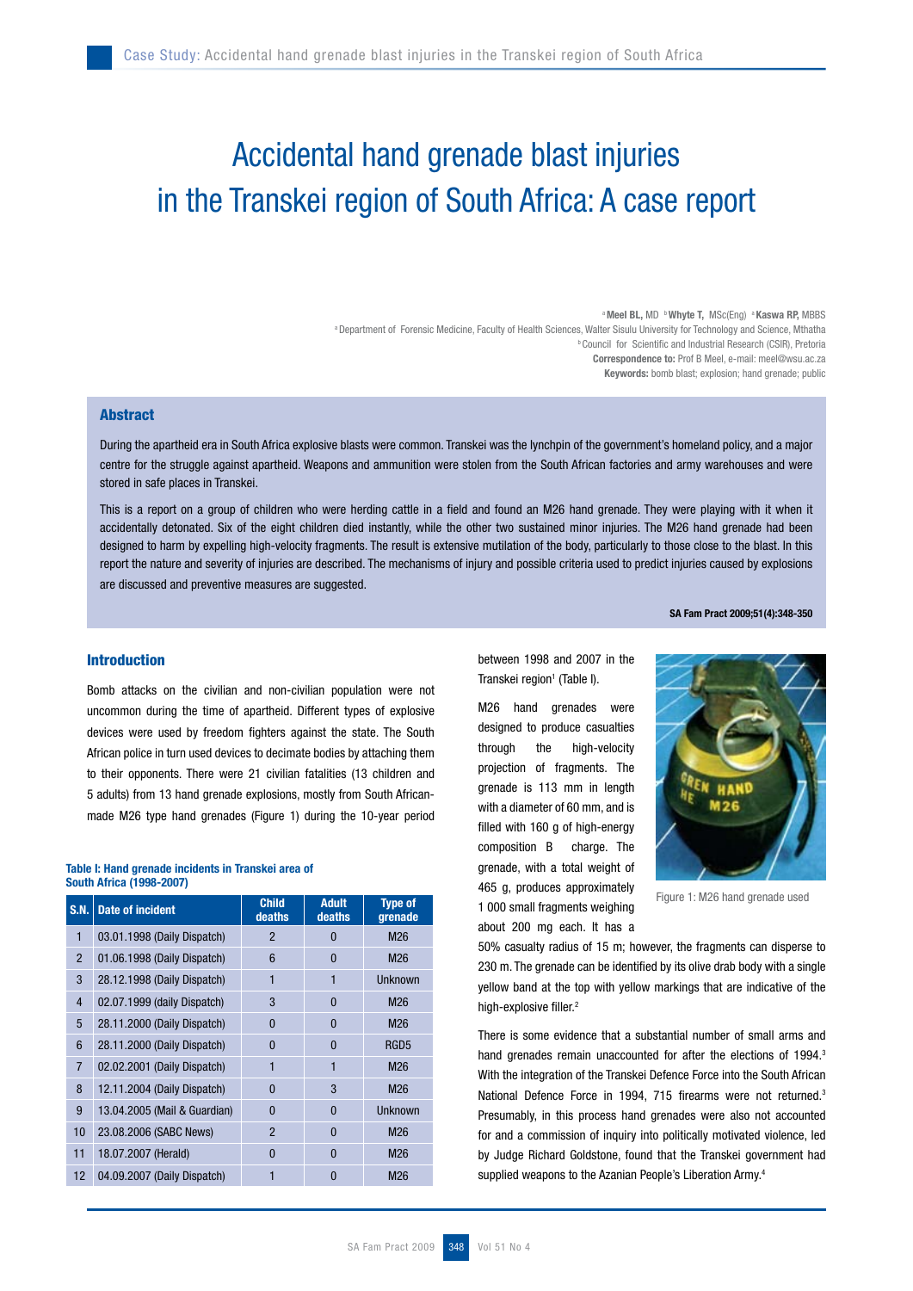# Accidental hand grenade blast injuries in the Transkei region of South Africa: A case report

a Meel BL, MD **b Whyte T.** MSc(Eng) a Kaswa RP, MBBS a Department of Forensic Medicine, Faculty of Health Sciences, Walter Sisulu University for Technology and Science, Mthatha **b Council for Scientific and Industrial Research (CSIR), Pretoria** Correspondence to: Prof B Meel, e-mail: meel@wsu.ac.za Keywords: bomb blast; explosion; hand grenade; public

## Abstract

During the apartheid era in South Africa explosive blasts were common. Transkei was the lynchpin of the government's homeland policy, and a major centre for the struggle against apartheid. Weapons and ammunition were stolen from the South African factories and army warehouses and were stored in safe places in Transkei.

This is a report on a group of children who were herding cattle in a field and found an M26 hand grenade. They were playing with it when it accidentally detonated. Six of the eight children died instantly, while the other two sustained minor injuries. The M26 hand grenade had been designed to harm by expelling high-velocity fragments. The result is extensive mutilation of the body, particularly to those close to the blast. In this report the nature and severity of injuries are described. The mechanisms of injury and possible criteria used to predict injuries caused by explosions are discussed and preventive measures are suggested.

SA Fam Pract 2009;51(4):348-350

### Introduction

Bomb attacks on the civilian and non-civilian population were not uncommon during the time of apartheid. Different types of explosive devices were used by freedom fighters against the state. The South African police in turn used devices to decimate bodies by attaching them to their opponents. There were 21 civilian fatalities (13 children and 5 adults) from 13 hand grenade explosions, mostly from South Africanmade M26 type hand grenades (Figure 1) during the 10-year period

#### Table I: Hand grenade incidents in Transkei area of South Africa (1998-2007)

| <b>S.N.</b>    | <b>Date of incident</b>      | <b>Child</b><br>deaths | <b>Adult</b><br>deaths | <b>Type of</b><br>grenade |
|----------------|------------------------------|------------------------|------------------------|---------------------------|
| 1              | 03.01.1998 (Daily Dispatch)  | $\mathfrak{p}$         | 0                      | M26                       |
| $\mathfrak{p}$ | 01.06.1998 (Daily Dispatch)  | 6                      | 0                      | M26                       |
| 3              | 28.12.1998 (Daily Dispatch)  |                        |                        | Unknown                   |
| $\overline{4}$ | 02.07.1999 (daily Dispatch)  | 3                      | 0                      | M26                       |
| 5              | 28.11.2000 (Daily Dispatch)  | $\Omega$               | 0                      | M26                       |
| 6              | 28.11.2000 (Daily Dispatch)  | $\Omega$               | 0                      | RGD <sub>5</sub>          |
| $\overline{7}$ | 02.02.2001 (Daily Dispatch)  | 1                      | 1                      | M26                       |
| 8              | 12.11.2004 (Daily Dispatch)  | 0                      | 3                      | M26                       |
| 9              | 13.04.2005 (Mail & Guardian) | $\mathbf{0}$           | 0                      | Unknown                   |
| 10             | 23.08.2006 (SABC News)       | $\overline{2}$         | 0                      | M26                       |
| 11             | 18.07.2007 (Herald)          | $\Omega$               | $\bf{0}$               | M26                       |
| 12             | 04.09.2007 (Daily Dispatch)  |                        | 0                      | M26                       |

between 1998 and 2007 in the Transkei region<sup>1</sup> (Table I).

M26 hand grenades were designed to produce casualties through the high-velocity projection of fragments. The grenade is 113 mm in length with a diameter of 60 mm, and is filled with 160 g of high-energy composition B charge. The grenade, with a total weight of 465 g, produces approximately 1 000 small fragments weighing about 200 mg each. It has a



Figure 1: M26 hand grenade used

50% casualty radius of 15 m; however, the fragments can disperse to 230 m. The grenade can be identified by its olive drab body with a single yellow band at the top with yellow markings that are indicative of the high-explosive filler.<sup>2</sup>

There is some evidence that a substantial number of small arms and hand grenades remain unaccounted for after the elections of 1994.<sup>3</sup> With the integration of the Transkei Defence Force into the South African National Defence Force in 1994, 715 firearms were not returned.<sup>3</sup> Presumably, in this process hand grenades were also not accounted for and a commission of inquiry into politically motivated violence, led by Judge Richard Goldstone, found that the Transkei government had supplied weapons to the Azanian People's Liberation Army.<sup>4</sup>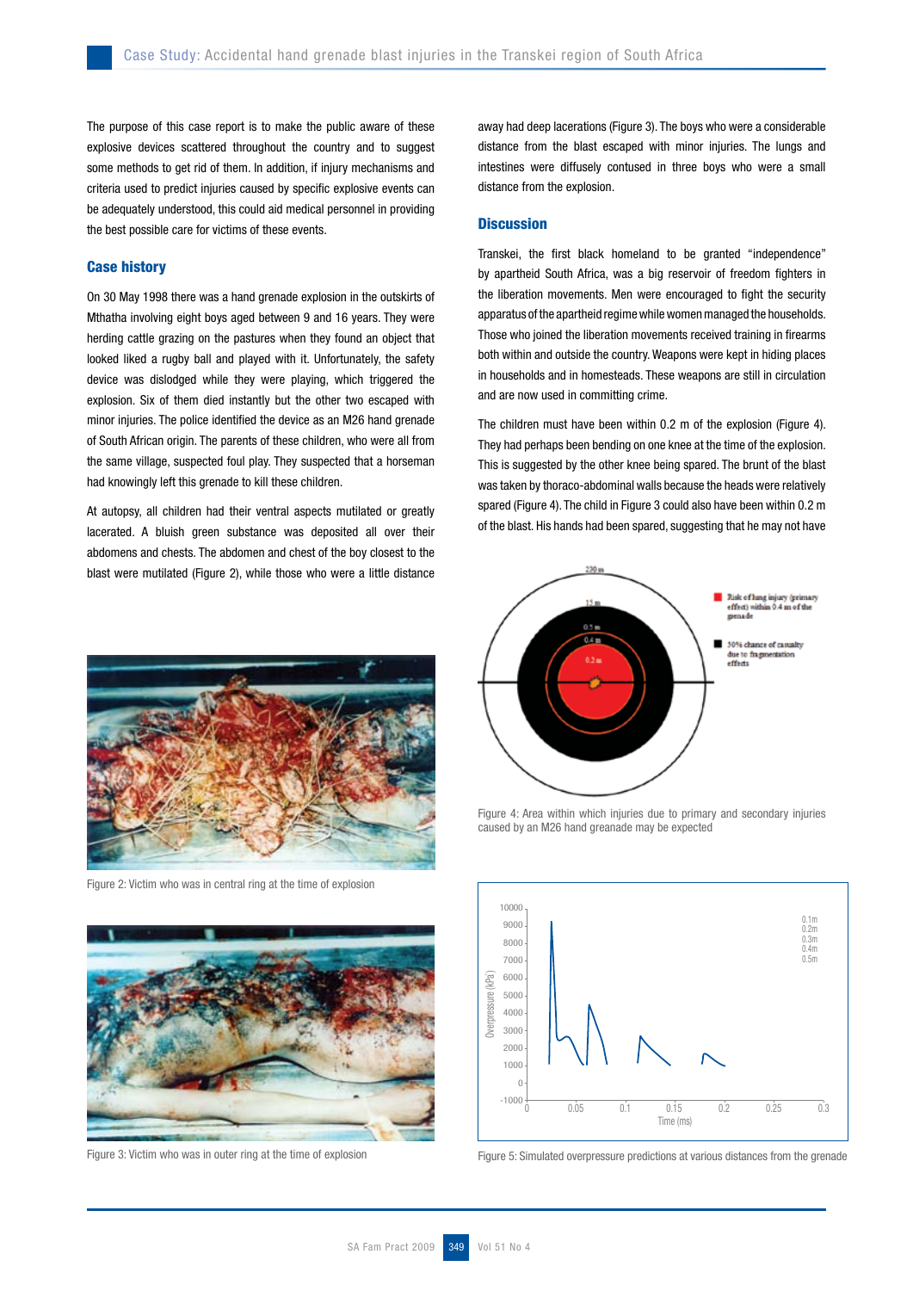The purpose of this case report is to make the public aware of these explosive devices scattered throughout the country and to suggest some methods to get rid of them. In addition, if injury mechanisms and criteria used to predict injuries caused by specific explosive events can be adequately understood, this could aid medical personnel in providing the best possible care for victims of these events.

#### Case history

On 30 May 1998 there was a hand grenade explosion in the outskirts of Mthatha involving eight boys aged between 9 and 16 years. They were herding cattle grazing on the pastures when they found an object that looked liked a rugby ball and played with it. Unfortunately, the safety device was dislodged while they were playing, which triggered the explosion. Six of them died instantly but the other two escaped with minor injuries. The police identified the device as an M26 hand grenade of South African origin. The parents of these children, who were all from the same village, suspected foul play. They suspected that a horseman had knowingly left this grenade to kill these children.

At autopsy, all children had their ventral aspects mutilated or greatly lacerated. A bluish green substance was deposited all over their abdomens and chests. The abdomen and chest of the boy closest to the blast were mutilated (Figure 2), while those who were a little distance



Figure 2: Victim who was in central ring at the time of explosion



away had deep lacerations (Figure 3). The boys who were a considerable distance from the blast escaped with minor injuries. The lungs and intestines were diffusely contused in three boys who were a small distance from the explosion.

#### **Discussion**

Transkei, the first black homeland to be granted "independence" by apartheid South Africa, was a big reservoir of freedom fighters in the liberation movements. Men were encouraged to fight the security apparatus of the apartheid regime while women managed the households. Those who joined the liberation movements received training in firearms both within and outside the country. Weapons were kept in hiding places in households and in homesteads. These weapons are still in circulation and are now used in committing crime.

The children must have been within 0.2 m of the explosion (Figure 4). They had perhaps been bending on one knee at the time of the explosion. This is suggested by the other knee being spared. The brunt of the blast was taken by thoraco-abdominal walls because the heads were relatively spared (Figure 4). The child in Figure 3 could also have been within 0.2 m of the blast. His hands had been spared, suggesting that he may not have



Figure 4: Area within which injuries due to primary and secondary injuries caused by an M26 hand greanade may be expected



Figure 3: Victim who was in outer ring at the time of explosion Figure 5: Simulated overpressure predictions at various distances from the grenade